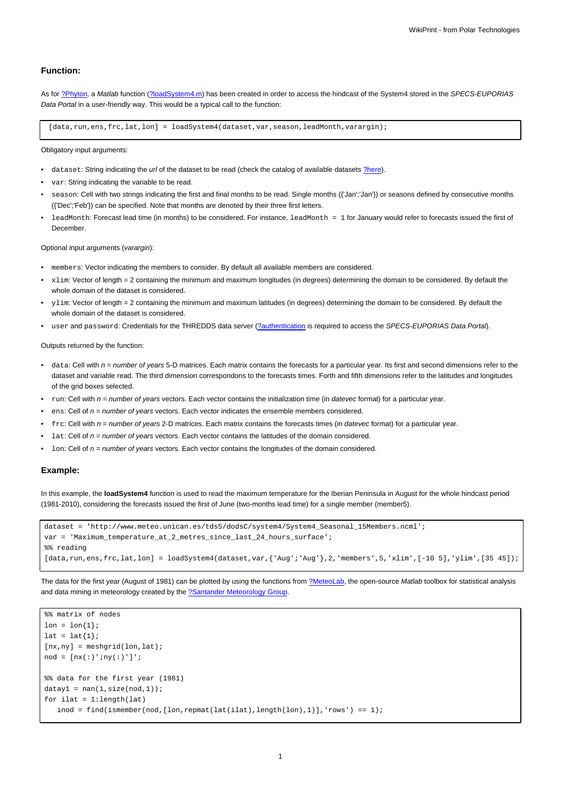## **Function:**

As for [?Phyton,](https://www.meteo.unican.es/trac/meteo/wiki/SpecsEuporias/Interfaces/RPackage/Python) a Matlab function ([?loadSystem4.m](https://www.meteo.unican.es/trac/MLToolbox/browser/MLToolbox/trunk/MLToolbox_experiments/antonio/system4/matlab/loadSystem4.m)) has been created in order to access the hindcast of the System4 stored in the SPECS-EUPORIAS Data Portal in a user-friendly way. This would be a typical call to the function:

[data,run,ens,frc,lat,lon] = loadSystem4(dataset,var,season,leadMonth,varargin);

Obligatory input arguments:

- dataset: String indicating the url of the dataset to be read (check the catalog of available datasets [?here\)](https://www.meteo.unican.es/trac/meteo/wiki/SpecsEuporias/DataServer/Datasets).
- var: String indicating the variable to be read.
- season: Cell with two strings indicating the first and final months to be read. Single months ({'Jan';'Jan'}) or seasons defined by consecutive months ({'Dec';'Feb'}) can be specified. Note that months are denoted by their three first letters.
- leadMonth: Forecast lead time (in months) to be considered. For instance, leadMonth = 1 for January would refer to forecasts issued the first of **December**

Optional input arguments (varargin):

- members: Vector indicating the members to consider. By default all available members are considered.
- xlim: Vector of length = 2 containing the minimum and maximum longitudes (in degrees) determining the domain to be considered. By default the whole domain of the dataset is considered.
- ylim: Vector of length = 2 containing the minimum and maximum latitudes (in degrees) determining the domain to be considered. By default the whole domain of the dataset is considered.
- user and password: Credentials for the THREDDS data server [\(?authentication](https://www.meteo.unican.es/trac/meteo/wiki/SpecsEuporias/RPackage/Authentication) is required to access the SPECS-EUPORIAS Data Portal).

Outputs returned by the function:

- data: Cell with  $n =$  number of years 5-D matrices. Each matrix contains the forecasts for a particular year. Its first and second dimensions refer to the dataset and variable read. The third dimension correspondons to the forecasts times. Forth and fifth dimensions refer to the latitudes and longitudes of the grid boxes selected.
- run: Cell with  $n = number$  of years vectors. Each vector contains the initialization time (in datevec format) for a particular year.
- $ens:$  Cell of  $n = number$  of years vectors. Each vector indicates the ensemble members considered.
- frc: Cell with  $n =$  number of years 2-D matrices. Each matrix contains the forecasts times (in datevec format) for a particular year.
- Lat: Cell of  $n =$  number of years vectors. Each vector contains the latitudes of the domain considered.
- $1$ on: Cell of  $n =$  number of years vectors. Each vector contains the longitudes of the domain considered.

## **Example:**

In this example, the **loadSystem4** function is used to read the maximum temperature for the Iberian Peninsula in August for the whole hindcast period (1981-2010), considering the forecasts issued the first of June (two-months lead time) for a single member (member5).

```
dataset = 'http://www.meteo.unican.es/tds5/dodsC/system4/System4_Seasonal_15Members.ncml';
var = 'Maximum_temperature_at_2_metres_since_last_24_hours_surface';
%% reading
[data,run,ens,frc,lat,lon] = loadSystem4(dataset,var,{'Aug';'Aug'},2,'members',5,'xlim',[-10 5],'ylim',[35 45]);
```
The data for the first year (August of 1981) can be plotted by using the functions from [?MeteoLab](https://www.mdm.unican.es/trac/MLToolbox), the open-source Matlab toolbox for statistical analysis and data mining in meteorology created by the [?Santander Meteorology Group.](http://www.meteo.unican.es/en/main)

```
%% matrix of nodes
lon = lon{1};lat = lat{1};[nx,ny] = meshgrid(lon,lat);\text{nod} = [\text{nx}(:)':\text{ny}(:)']';
%% data for the first year (1981)
datay1 = nan(1,size(nod, 1));for ilat = 1:length(lat)
    \text{inod = find}(\text{ismember}(\text{nod}, [\text{lon}, \text{repmat}(\text{lat}(\text{ilat}), \text{length}(\text{lon}), 1)], 'rows') == 1);
```